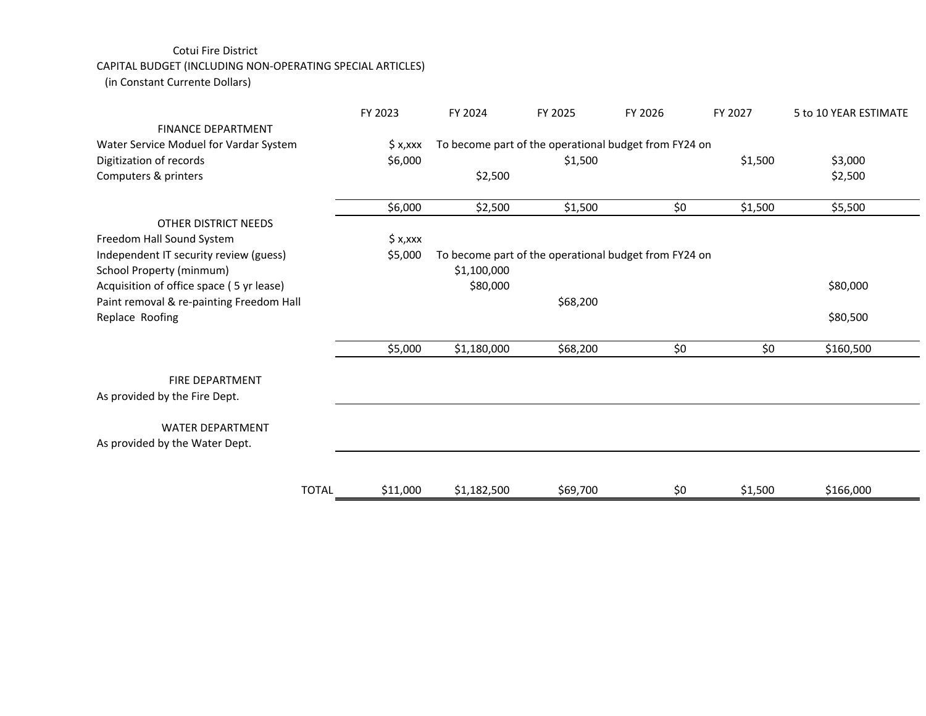## Cotui Fire District

## CAPITAL BUDGET (INCLUDING NON‐OPERATING SPECIAL ARTICLES)

(in Constant Currente Dollars)

|                                          |              | FY 2023    | FY 2024                                               | FY 2025  | FY 2026 | FY 2027 | 5 to 10 YEAR ESTIMATE |  |
|------------------------------------------|--------------|------------|-------------------------------------------------------|----------|---------|---------|-----------------------|--|
| <b>FINANCE DEPARTMENT</b>                |              |            |                                                       |          |         |         |                       |  |
| Water Service Moduel for Vardar System   |              | $$ x,$ xxx | To become part of the operational budget from FY24 on |          |         |         |                       |  |
| Digitization of records                  |              | \$6,000    |                                                       | \$1,500  |         | \$1,500 | \$3,000               |  |
| Computers & printers                     |              |            | \$2,500                                               |          |         |         | \$2,500               |  |
|                                          |              | \$6,000    | \$2,500                                               | \$1,500  | \$0     | \$1,500 | \$5,500               |  |
| OTHER DISTRICT NEEDS                     |              |            |                                                       |          |         |         |                       |  |
| Freedom Hall Sound System                |              | $$ x,$ xxx |                                                       |          |         |         |                       |  |
| Independent IT security review (guess)   |              | \$5,000    | To become part of the operational budget from FY24 on |          |         |         |                       |  |
| School Property (minmum)                 |              |            | \$1,100,000                                           |          |         |         |                       |  |
| Acquisition of office space (5 yr lease) |              |            | \$80,000                                              |          |         |         | \$80,000              |  |
| Paint removal & re-painting Freedom Hall |              |            |                                                       | \$68,200 |         |         |                       |  |
| Replace Roofing                          |              |            |                                                       |          |         |         | \$80,500              |  |
|                                          |              | \$5,000    | \$1,180,000                                           | \$68,200 | \$0     | \$0     | \$160,500             |  |
| <b>FIRE DEPARTMENT</b>                   |              |            |                                                       |          |         |         |                       |  |
| As provided by the Fire Dept.            |              |            |                                                       |          |         |         |                       |  |
| <b>WATER DEPARTMENT</b>                  |              |            |                                                       |          |         |         |                       |  |
| As provided by the Water Dept.           |              |            |                                                       |          |         |         |                       |  |
|                                          |              |            |                                                       |          |         |         |                       |  |
|                                          | <b>TOTAL</b> | \$11,000   | \$1,182,500                                           | \$69,700 | \$0     | \$1,500 | \$166,000             |  |